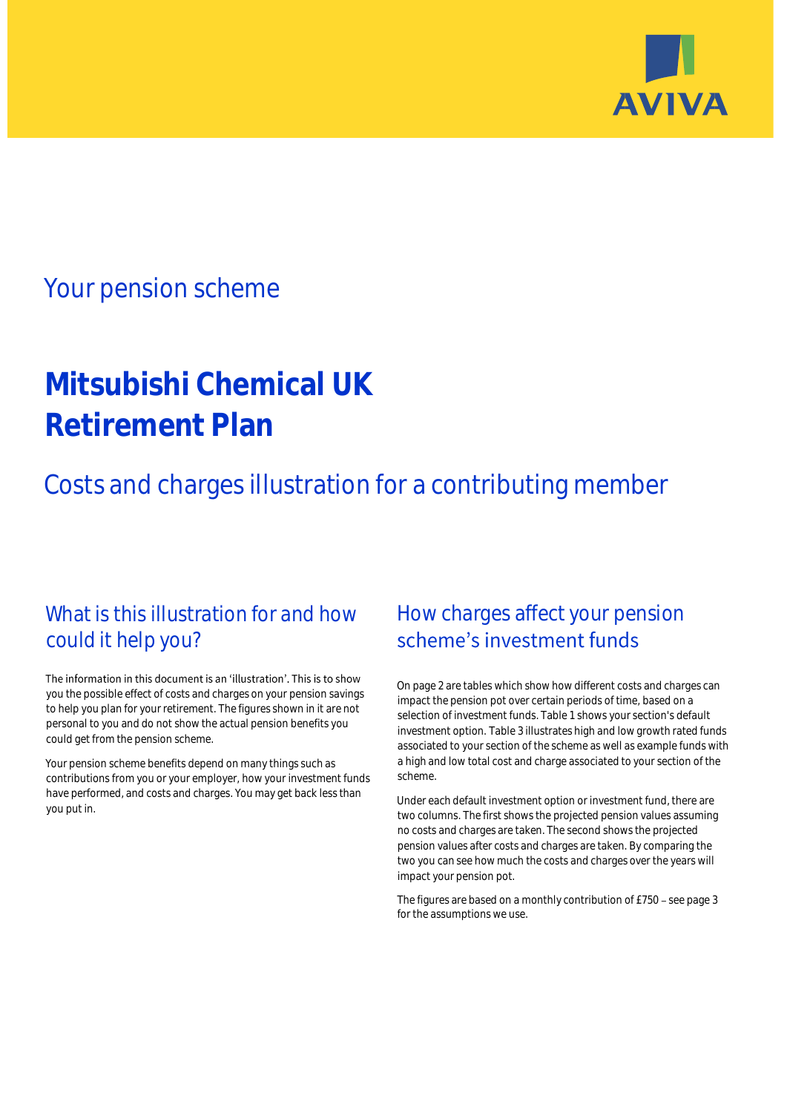

## Your pension scheme

# **Mitsubishi Chemical UK Retirement Plan**

Costs and charges illustration for a contributing member

### What is this illustration for and how could it help you?

#### The information in this document is an 'illustration'. This is to show you the possible effect of costs and charges on your pension savings to help you plan for your retirement. The figures shown in it are not personal to you and do not show the actual pension benefits you could get from the pension scheme.

Your pension scheme benefits depend on many things such as contributions from you or your employer, how your investment funds have performed, and costs and charges. You may get back less than you put in.

### How charges affect your pension scheme's investment funds

On page 2 are tables which show how different costs and charges can impact the pension pot over certain periods of time, based on a selection of investment funds. Table 1 shows your section's default investment option. Table 3 illustrates high and low growth rated funds associated to your section of the scheme as well as example funds with a high and low total cost and charge associated to your section of the scheme.

Under each default investment option or investment fund, there are two columns. The first shows the projected pension values assuming no costs and charges are taken. The second shows the projected pension values after costs and charges are taken. By comparing the two you can see how much the costs and charges over the years will impact your pension pot.

The figures are based on a monthly contribution of £750 - see page 3 for the assumptions we use.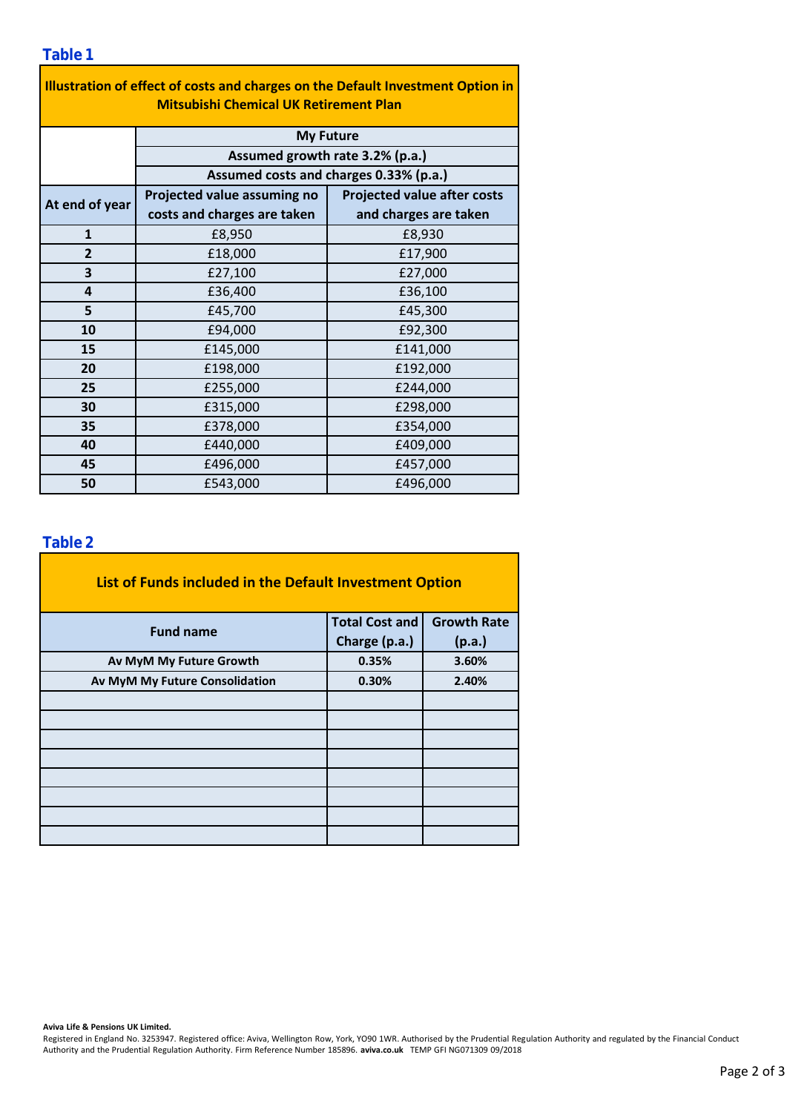| Illustration of effect of costs and charges on the Default Investment Option in<br><b>Mitsubishi Chemical UK Retirement Plan</b> |                                                                                               |                                    |  |  |  |  |  |  |  |
|----------------------------------------------------------------------------------------------------------------------------------|-----------------------------------------------------------------------------------------------|------------------------------------|--|--|--|--|--|--|--|
|                                                                                                                                  | <b>My Future</b><br>Assumed growth rate 3.2% (p.a.)<br>Assumed costs and charges 0.33% (p.a.) |                                    |  |  |  |  |  |  |  |
|                                                                                                                                  |                                                                                               |                                    |  |  |  |  |  |  |  |
|                                                                                                                                  |                                                                                               |                                    |  |  |  |  |  |  |  |
| At end of year                                                                                                                   | Projected value assuming no                                                                   | <b>Projected value after costs</b> |  |  |  |  |  |  |  |
|                                                                                                                                  | costs and charges are taken                                                                   | and charges are taken              |  |  |  |  |  |  |  |
| $\mathbf{1}$                                                                                                                     | £8,950                                                                                        | £8,930                             |  |  |  |  |  |  |  |
| $\overline{2}$                                                                                                                   | £18,000                                                                                       | £17,900                            |  |  |  |  |  |  |  |
| 3                                                                                                                                | £27,100                                                                                       | £27,000                            |  |  |  |  |  |  |  |
| 4                                                                                                                                | £36,400                                                                                       | £36,100                            |  |  |  |  |  |  |  |
| 5                                                                                                                                | £45,700                                                                                       | £45,300                            |  |  |  |  |  |  |  |
| 10                                                                                                                               | £94,000                                                                                       | £92,300                            |  |  |  |  |  |  |  |
| 15                                                                                                                               | £145,000                                                                                      | £141,000                           |  |  |  |  |  |  |  |
| 20                                                                                                                               | £198,000                                                                                      | £192,000                           |  |  |  |  |  |  |  |
| 25                                                                                                                               | £255,000                                                                                      | £244,000                           |  |  |  |  |  |  |  |
| 30                                                                                                                               | £315,000                                                                                      | £298,000                           |  |  |  |  |  |  |  |
| 35                                                                                                                               | £378,000                                                                                      | £354,000                           |  |  |  |  |  |  |  |
| 40                                                                                                                               | £440,000                                                                                      | £409,000                           |  |  |  |  |  |  |  |
| 45                                                                                                                               | £496,000                                                                                      | £457,000                           |  |  |  |  |  |  |  |
| 50                                                                                                                               | £543,000                                                                                      | £496,000                           |  |  |  |  |  |  |  |

÷,

### **Table 2**

| List of Funds included in the Default Investment Option |                       |                    |
|---------------------------------------------------------|-----------------------|--------------------|
| <b>Fund name</b>                                        | <b>Total Cost and</b> | <b>Growth Rate</b> |
|                                                         | Charge (p.a.)         | (p.a.)             |
| Av MyM My Future Growth                                 | 0.35%                 | 3.60%              |
| Av MyM My Future Consolidation                          | 0.30%                 | 2.40%              |
|                                                         |                       |                    |
|                                                         |                       |                    |
|                                                         |                       |                    |
|                                                         |                       |                    |
|                                                         |                       |                    |
|                                                         |                       |                    |
|                                                         |                       |                    |
|                                                         |                       |                    |

#### **Aviva Life & Pensions UK Limited.**

Registered in England No. 3253947. Registered office: Aviva, Wellington Row, York, YO90 1WR. Authorised by the Prudential Regulation Authority and regulated by the Financial Conduct Authority and the Prudential Regulation Authority. Firm Reference Number 185896. **aviva.co.uk** TEMP GFI NG071309 09/2018